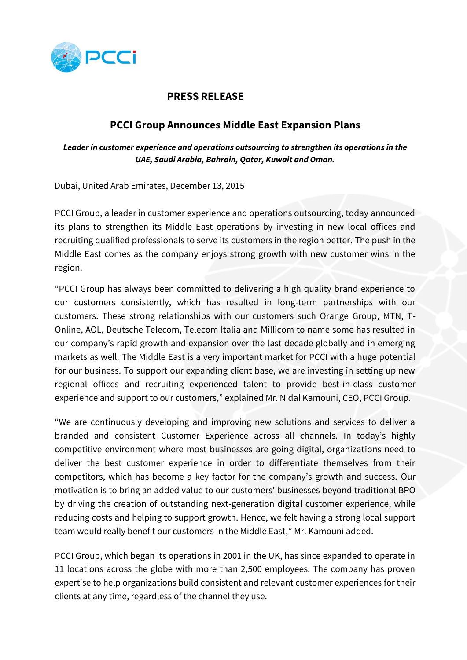

## **PRESS RELEASE**

## **PCCI Group Announces Middle East Expansion Plans**

*Leader in customer experience and operations outsourcing to strengthen its operations in the UAE, Saudi Arabia, Bahrain, Qatar, Kuwait and Oman.*

**avec le groupe MTN.** Dubai, United Arab Emirates, December 13, 2015

PCCI Group, a leader in customer experience and operations outsourcing, today announced its plans to strengthen its Middle East operations by investing in new local offices and recruiting qualified professionals to serve its customers in the region better. The push in the Middle East comes as the company enjoys strong growth with new customer wins in the region.

"PCCI Group has always been committed to delivering a high quality brand experience to our customers consistently, which has resulted in long-term partnerships with our customers. These strong relationships with our customers such Orange Group, MTN, T-Online, AOL, Deutsche Telecom, Telecom Italia and Millicom to name some has resulted in our company's rapid growth and expansion over the last decade globally and in emerging markets as well. The Middle East is a very important market for PCCI with a huge potential for our business. To support our expanding client base, we are investing in setting up new regional offices and recruiting experienced talent to provide best-in-class customer experience and support to our customers," explained Mr. Nidal Kamouni, CEO, PCCI Group.

"We are continuously developing and improving new solutions and services to deliver a branded and consistent Customer Experience across all channels. In today's highly competitive environment where most businesses are going digital, organizations need to deliver the best customer experience in order to differentiate themselves from their competitors, which has become a key factor for the company's growth and success. Our motivation is to bring an added value to our customers' businesses beyond traditional BPO by driving the creation of outstanding next-generation digital customer experience, while reducing costs and helping to support growth. Hence, we felt having a strong local support team would really benefit our customers in the Middle East," Mr. Kamouni added.

PCCI Group, which began its operations in 2001 in the UK, has since expanded to operate in 11 locations across the globe with more than 2,500 employees. The company has proven expertise to help organizations build consistent and relevant customer experiences for their clients at any time, regardless of the channel they use.